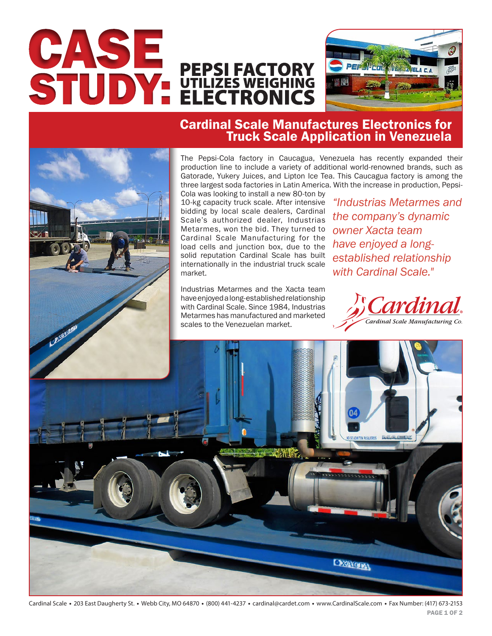



## Cardinal Scale Manufactures Electronics for Truck Scale Application in Venezuela

The Pepsi-Cola factory in Caucagua, Venezuela has recently expanded their production line to include a variety of additional world-renowned brands, such as Gatorade, Yukery Juices, and Lipton Ice Tea. This Caucagua factory is among the three largest soda factories in Latin America. With the increase in production, Pepsi-Cola was looking to install a new 80-ton by

10-kg capacity truck scale. After intensive bidding by local scale dealers, Cardinal Scale's authorized dealer, Industrias Metarmes, won the bid. They turned to Cardinal Scale Manufacturing for the load cells and junction box, due to the solid reputation Cardinal Scale has built internationally in the industrial truck scale market.

Industrias Metarmes and the Xacta team have enjoyed a long-established relationship with Cardinal Scale. Since 1984, Industrias Metarmes has manufactured and marketed scales to the Venezuelan market.

*"Industrias Metarmes and the company's dynamic owner Xacta team have enjoyed a longestablished relationship with Cardinal Scale."*





Cardinal Scale · 203 East Daugherty St. · Webb City, MO 64870 · (800) 441-4237 · cardinal@cardet.com · www.CardinalScale.com · Fax Number: (417) 673-2153 **PAGE 1 OF 2**